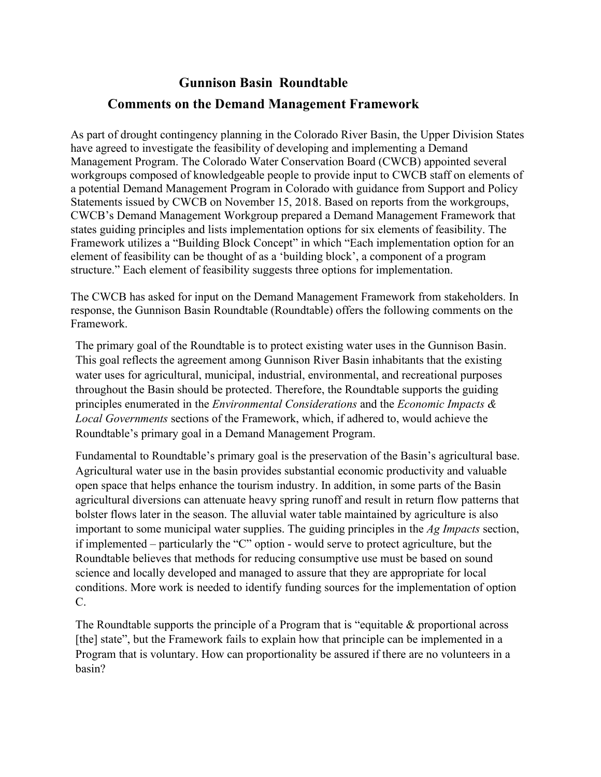## **Gunnison Basin Roundtable Comments on the Demand Management Framework**

As part of drought contingency planning in the Colorado River Basin, the Upper Division States have agreed to investigate the feasibility of developing and implementing a Demand Management Program. The Colorado Water Conservation Board (CWCB) appointed several workgroups composed of knowledgeable people to provide input to CWCB staff on elements of a potential Demand Management Program in Colorado with guidance from Support and Policy Statements issued by CWCB on November 15, 2018. Based on reports from the workgroups, CWCB's Demand Management Workgroup prepared a Demand Management Framework that states guiding principles and lists implementation options for six elements of feasibility. The Framework utilizes a "Building Block Concept" in which "Each implementation option for an element of feasibility can be thought of as a 'building block', a component of a program structure." Each element of feasibility suggests three options for implementation.

The CWCB has asked for input on the Demand Management Framework from stakeholders. In response, the Gunnison Basin Roundtable (Roundtable) offers the following comments on the Framework.

The primary goal of the Roundtable is to protect existing water uses in the Gunnison Basin. This goal reflects the agreement among Gunnison River Basin inhabitants that the existing water uses for agricultural, municipal, industrial, environmental, and recreational purposes throughout the Basin should be protected. Therefore, the Roundtable supports the guiding principles enumerated in the *Environmental Considerations* and the *Economic Impacts & Local Governments* sections of the Framework, which, if adhered to, would achieve the Roundtable's primary goal in a Demand Management Program.

Fundamental to Roundtable's primary goal is the preservation of the Basin's agricultural base. Agricultural water use in the basin provides substantial economic productivity and valuable open space that helps enhance the tourism industry. In addition, in some parts of the Basin agricultural diversions can attenuate heavy spring runoff and result in return flow patterns that bolster flows later in the season. The alluvial water table maintained by agriculture is also important to some municipal water supplies. The guiding principles in the *Ag Impacts* section, if implemented – particularly the "C" option - would serve to protect agriculture, but the Roundtable believes that methods for reducing consumptive use must be based on sound science and locally developed and managed to assure that they are appropriate for local conditions. More work is needed to identify funding sources for the implementation of option C.

The Roundtable supports the principle of a Program that is "equitable & proportional across [the] state", but the Framework fails to explain how that principle can be implemented in a Program that is voluntary. How can proportionality be assured if there are no volunteers in a basin?